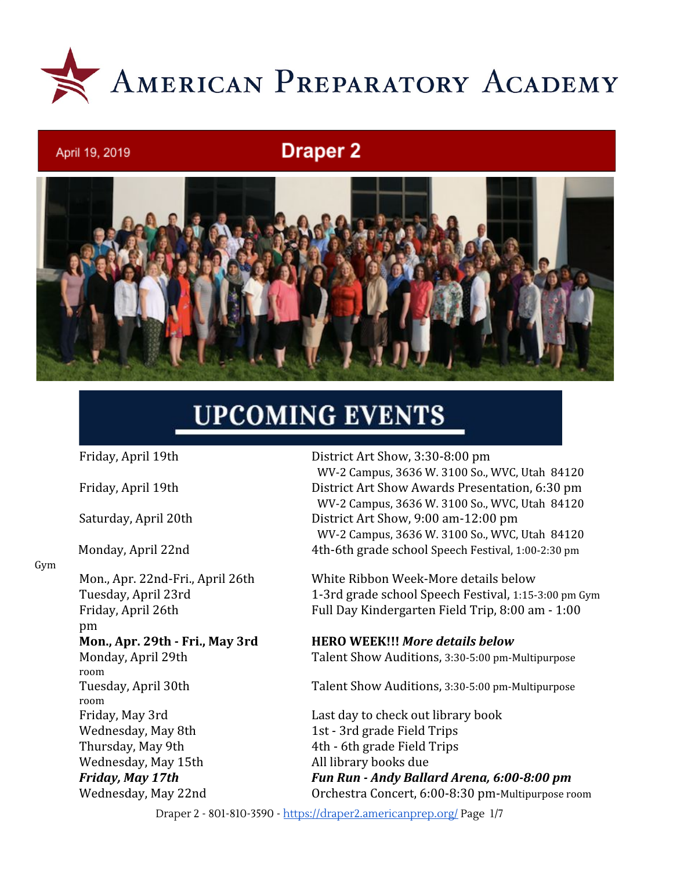

# **Draper 2**



# **UPCOMING EVENTS**

April 19, 2019

Gym

pm room room Wednesday, May 8th 1st - 3rd grade Field Trips Thursday, May 9th 4th - 6th grade Field Trips Wednesday, May 15th All library books due

Friday, April 19th District Art Show, 3:30-8:00 pm WV-2 Campus, 3636 W. 3100 So., WVC, Utah 84120 Friday, April 19th District Art Show Awards Presentation, 6:30 pm WV-2 Campus, 3636 W. 3100 So., WVC, Utah 84120 Saturday, April 20th District Art Show, 9:00 am-12:00 pm WV-2 Campus, 3636 W. 3100 So., WVC, Utah 84120 Monday, April 22nd 4th-6th grade school Speech Festival, 1:00-2:30 pm

Mon., Apr. 22nd-Fri., April 26th White Ribbon Week-More details below Tuesday, April 23rd 1-3rd grade school Speech Festival, 1:15-3:00 pm Gym Friday, April 26th Full Day Kindergarten Field Trip, 8:00 am - 1:00

#### **Mon., Apr. 29th - Fri., May 3rd HERO WEEK!!!** *More details below*

Monday, April 29th Talent Show Auditions, 3:30-5:00 pm-Multipurpose

Tuesday, April 30th Talent Show Auditions, 3:30-5:00 pm-Multipurpose

Friday, May 3rd Last day to check out library book *Friday, May 17th Fun Run - Andy Ballard Arena, 6:00-8:00 pm* Wednesday, May 22nd Orchestra Concert, 6:00-8:30 pm-Multipurpose room

Draper 2 - 801-810-3590 - <https://draper2.americanprep.org/> Page 1/7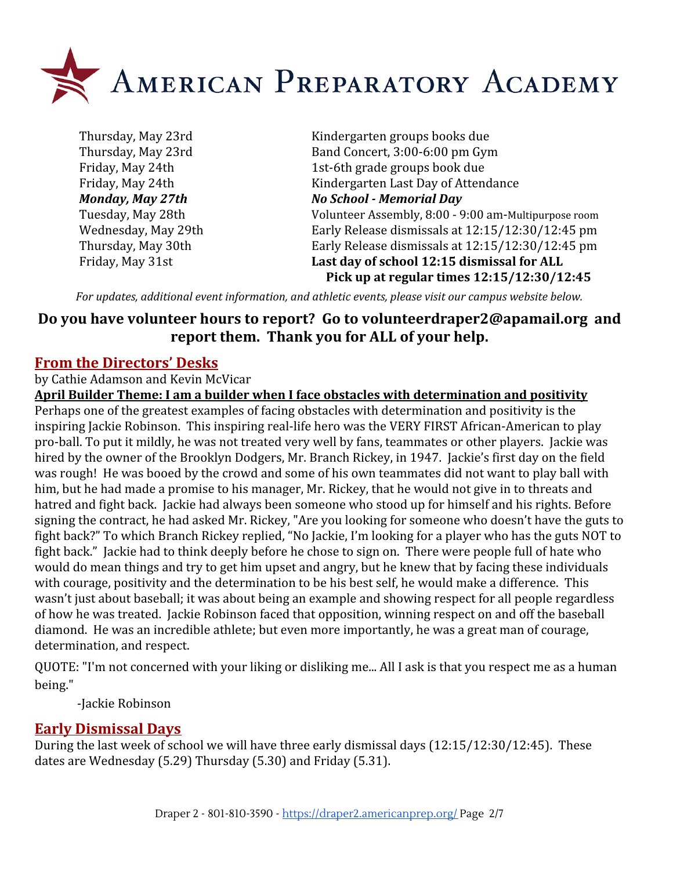

Thursday, May 23rd Kindergarten groups books due Thursday, May 23rd Band Concert, 3:00-6:00 pm Gym Friday, May 24th 1st-6th grade groups book due Friday, May 24th Kindergarten Last Day of Attendance *Monday, May 27th No School - Memorial Day* Tuesday, May 28th Volunteer Assembly, 8:00 - 9:00 am-Multipurpose room Wednesday, May 29th Early Release dismissals at 12:15/12:30/12:45 pm Thursday, May 30th Early Release dismissals at 12:15/12:30/12:45 pm Friday, May 31st **Last day of school 12:15 dismissal for ALL Pick up at regular times 12:15/12:30/12:45**

*For updates, additional event information, and athletic events, please visit our campus website below.*

# **Do you have volunteer hours to report? Go to [volunteerdraper2@apamail.org](mailto:volunteerdraper2@apamail.org) and report them. Thank you for ALL of your help.**

### **From the Directors' Desks**

by Cathie Adamson and Kevin McVicar

**April Builder Theme: I am a builder when I face obstacles with determination and positivity** Perhaps one of the greatest examples of facing obstacles with determination and positivity is the inspiring Jackie Robinson. This inspiring real-life hero was the VERY FIRST African-American to play pro-ball. To put it mildly, he was not treated very well by fans, teammates or other players. Jackie was hired by the owner of the Brooklyn Dodgers, Mr. Branch Rickey, in 1947. Jackie's first day on the field was rough! He was booed by the crowd and some of his own teammates did not want to play ball with him, but he had made a promise to his manager, Mr. Rickey, that he would not give in to threats and hatred and fight back. Jackie had always been someone who stood up for himself and his rights. Before signing the contract, he had asked Mr. Rickey, "Are you looking for someone who doesn't have the guts to fight back?" To which Branch Rickey replied, "No Jackie, I'm looking for a player who has the guts NOT to fight back." Jackie had to think deeply before he chose to sign on. There were people full of hate who would do mean things and try to get him upset and angry, but he knew that by facing these individuals with courage, positivity and the determination to be his best self, he would make a difference. This wasn't just about baseball; it was about being an example and showing respect for all people regardless of how he was treated. Jackie Robinson faced that opposition, winning respect on and off the baseball diamond. He was an incredible athlete; but even more importantly, he was a great man of courage, determination, and respect.

QUOTE: "I'm not concerned with your liking or disliking me... All I ask is that you respect me as a human being."

-Jackie Robinson

### **Early Dismissal Days**

During the last week of school we will have three early dismissal days (12:15/12:30/12:45). These dates are Wednesday (5.29) Thursday (5.30) and Friday (5.31).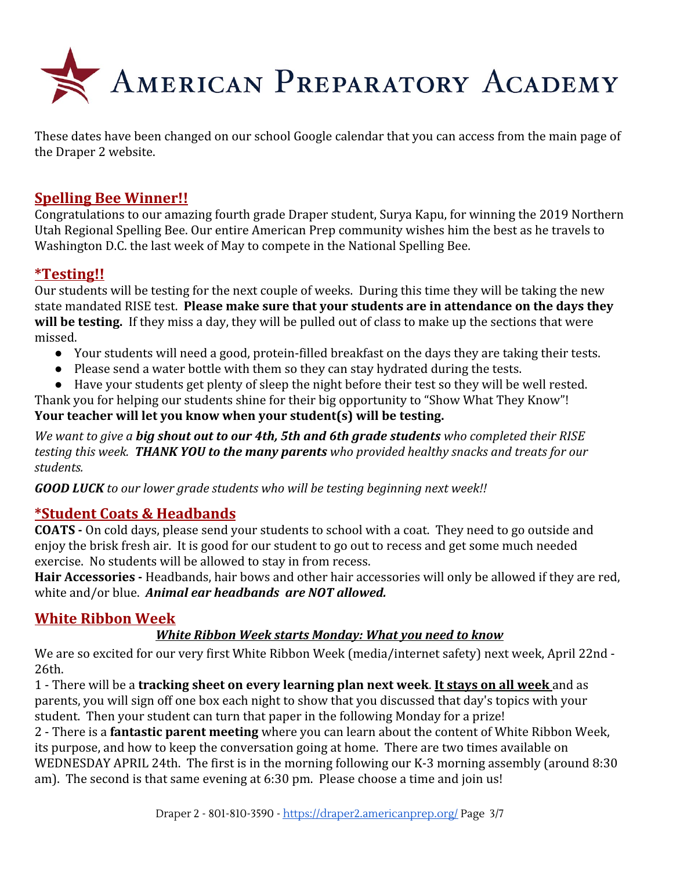

These dates have been changed on our school Google calendar that you can access from the main page of the Draper 2 website.

# **Spelling Bee Winner!!**

Congratulations to our amazing fourth grade Draper student, Surya Kapu, for winning the 2019 Northern Utah Regional Spelling Bee. Our entire American Prep community wishes him the best as he travels to Washington D.C. the last week of May to compete in the National Spelling Bee.

#### **\*Testing!!**

Our students will be testing for the next couple of weeks. During this time they will be taking the new state mandated RISE test. **Please make sure that your students are in attendance on the days they will be testing.** If they miss a day, they will be pulled out of class to make up the sections that were missed.

- Your students will need a good, protein-filled breakfast on the days they are taking their tests.
- Please send a water bottle with them so they can stay hydrated during the tests.
- Have your students get plenty of sleep the night before their test so they will be well rested.

Thank you for helping our students shine for their big opportunity to "Show What They Know"! **Your teacher will let you know when your student(s) will be testing.**

*We want to give a big shout out to our 4th, 5th and 6th grade students who completed their RISE testing this week. THANK YOU to the many parents who provided healthy snacks and treats for our students.*

*GOOD LUCK to our lower grade students who will be testing beginning next week!!*

### **\*Student Coats & Headbands**

**COATS -** On cold days, please send your students to school with a coat. They need to go outside and enjoy the brisk fresh air. It is good for our student to go out to recess and get some much needed exercise. No students will be allowed to stay in from recess.

**Hair Accessories -** Headbands, hair bows and other hair accessories will only be allowed if they are red, white and/or blue. *Animal ear headbands are NOT allowed.*

### **White Ribbon Week**

#### *White Ribbon Week starts Monday: What you need to know*

We are so excited for our very first White Ribbon Week (media/internet safety) next week, April 22nd - 26th.

1 - There will be a **tracking sheet on every learning plan next week**. **It stays on all week** and as parents, you will sign off one box each night to show that you discussed that day's topics with your student. Then your student can turn that paper in the following Monday for a prize!

2 - There is a **fantastic parent meeting** where you can learn about the content of White Ribbon Week, its purpose, and how to keep the conversation going at home. There are two times available on WEDNESDAY APRIL 24th. The first is in the morning following our K-3 morning assembly (around 8:30 am). The second is that same evening at 6:30 pm. Please choose a time and join us!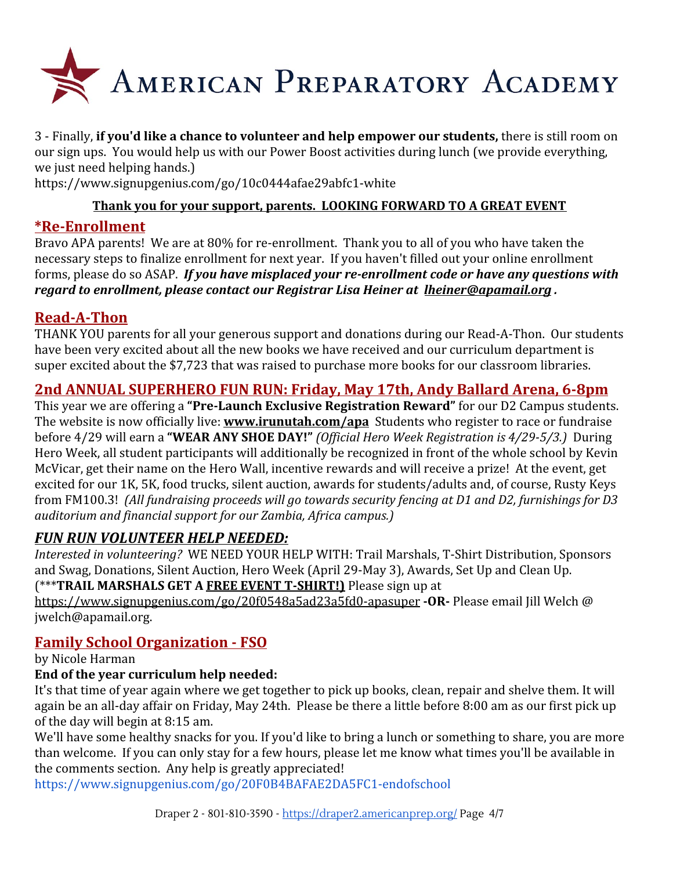

3 - Finally, **if you'd like a chance to volunteer and help empower our students,** there is still room on our sign ups. You would help us with our Power Boost activities during lunch (we provide everything, we just need helping hands.)

<https://www.signupgenius.com/go/10c0444afae29abfc1-white>

#### **Thank you for your support, parents. LOOKING FORWARD TO A GREAT EVENT**

## **\*Re-Enrollment**

Bravo APA parents! We are at 80% for re-enrollment. Thank you to all of you who have taken the necessary steps to finalize enrollment for next year. If you haven't filled out your online enrollment forms, please do so ASAP. *If you have misplaced your re-enrollment code or have any questions with regard to enrollment, please contact our Registrar Lisa Heiner at [lheiner@apamail.org](mailto:lheiner@apamail.org) .*

### **Read-A-Thon**

THANK YOU parents for all your generous support and donations during our Read-A-Thon. Our students have been very excited about all the new books we have received and our curriculum department is super excited about the \$7,723 that was raised to purchase more books for our classroom libraries.

# **2nd ANNUAL SUPERHERO FUN RUN: Friday, May 17th, Andy Ballard Arena, 6-8pm**

This year we are offering a **"Pre-Launch Exclusive Registration Reward"** for our D2 Campus students. The website is now officially live: **[www.irunutah.com/apa](http://www.irunutah.com/apa)** Students who register to race or fundraise before 4/29 will earn a **"WEAR ANY SHOE DAY!"** *(Official Hero Week Registration is 4/29-5/3.)* During Hero Week, all student participants will additionally be recognized in front of the whole school by Kevin McVicar, get their name on the Hero Wall, incentive rewards and will receive a prize! At the event, get excited for our 1K, 5K, food trucks, silent auction, awards for students/adults and, of course, Rusty Keys from FM100.3! *(All fundraising proceeds will go towards security fencing at D1 and D2, furnishings for D3 auditorium and financial support for our Zambia, Africa campus.)*

### *FUN RUN VOLUNTEER HELP NEEDED:*

*Interested in volunteering?* WE NEED YOUR HELP WITH: Trail Marshals, T-Shirt Distribution, Sponsors and Swag, Donations, Silent Auction, Hero Week (April 29-May 3), Awards, Set Up and Clean Up. (\*\*\***TRAIL MARSHALS GET A FREE EVENT T-SHIRT!)** Please sign up at

<https://www.signupgenius.com/go/20f0548a5ad23a5fd0-apasuper> **-OR-** Please email Jill Welch @ jwelch@apamail.org.

# **Family School Organization - FSO**

by Nicole Harman

### **End of the year curriculum help needed:**

It's that time of year again where we get together to pick up books, clean, repair and shelve them. It will again be an all-day affair on Friday, May 24th. Please be there a little before 8:00 am as our first pick up of the day will begin at 8:15 am.

We'll have some healthy snacks for you. If you'd like to bring a lunch or something to share, you are more than welcome. If you can only stay for a few hours, please let me know what times you'll be available in the comments section. Any help is greatly appreciated!

<https://www.signupgenius.com/go/20F0B4BAFAE2DA5FC1-endofschool>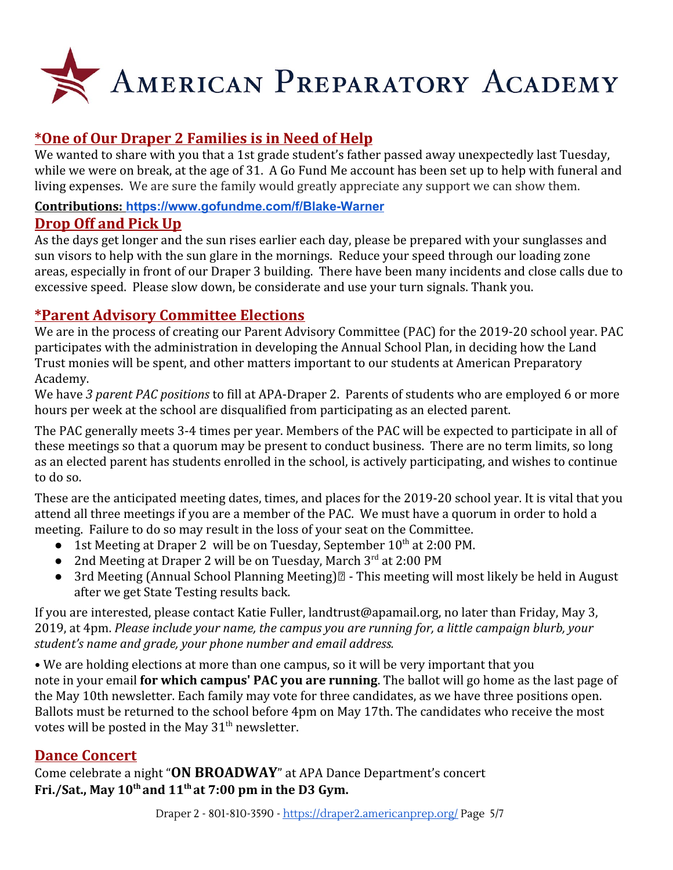

# **\*One of Our Draper 2 Families is in Need of Help**

We wanted to share with you that a 1st grade student's father passed away unexpectedly last Tuesday, while we were on break, at the age of 31. A Go Fund Me account has been set up to help with funeral and living expenses. We are sure the family would greatly appreciate any support we can show them.

#### **Contributions: <https://www.gofundme.com/f/Blake-Warner>**

## **Drop Off and Pick Up**

As the days get longer and the sun rises earlier each day, please be prepared with your sunglasses and sun visors to help with the sun glare in the mornings. Reduce your speed through our loading zone areas, especially in front of our Draper 3 building. There have been many incidents and close calls due to excessive speed. Please slow down, be considerate and use your turn signals. Thank you.

# **\*Parent Advisory Committee Elections**

We are in the process of creating our Parent Advisory Committee (PAC) for the 2019-20 school year. PAC participates with the administration in developing the Annual School Plan, in deciding how the Land Trust monies will be spent, and other matters important to our students at American Preparatory Academy.

We have *3 parent PAC positions* to fill at APA-Draper 2. Parents of students who are employed 6 or more hours per week at the school are disqualified from participating as an elected parent.

The PAC generally meets 3-4 times per year. Members of the PAC will be expected to participate in all of these meetings so that a quorum may be present to conduct business. There are no term limits, so long as an elected parent has students enrolled in the school, is actively participating, and wishes to continue to do so.

These are the anticipated meeting dates, times, and places for the 2019-20 school year. It is vital that you attend all three meetings if you are a member of the PAC. We must have a quorum in order to hold a meeting. Failure to do so may result in the loss of your seat on the Committee.

- 1st Meeting at Draper 2 will be on Tuesday, September 10<sup>th</sup> at 2:00 PM.
- 2nd Meeting at Draper 2 will be on Tuesday, March 3<sup>rd</sup> at 2:00 PM
- 3rd Meeting (Annual School Planning Meeting)  $\mathbb{Z}$  This meeting will most likely be held in August after we get State Testing results back.

If you are interested, please contact Katie Fuller, landtrust@apamail.org, no later than Friday, May 3, 2019, at 4pm. *Please include your name, the campus you are running for, a little campaign blurb, your student's name and grade, your phone number and email address.*

• We are holding elections at more than one campus, so it will be very important that you note in your email **for which campus' PAC you are running**. The ballot will go home as the last page of the May 10th newsletter. Each family may vote for three candidates, as we have three positions open. Ballots must be returned to the school before 4pm on May 17th. The candidates who receive the most votes will be posted in the May  $31<sup>th</sup>$  newsletter.

# **Dance Concert**

Come celebrate a night "**ON BROADWAY**" at APA Dance Department's concert **Fri./Sat., May 10th and 11th at 7:00 pm in the D3 Gym.**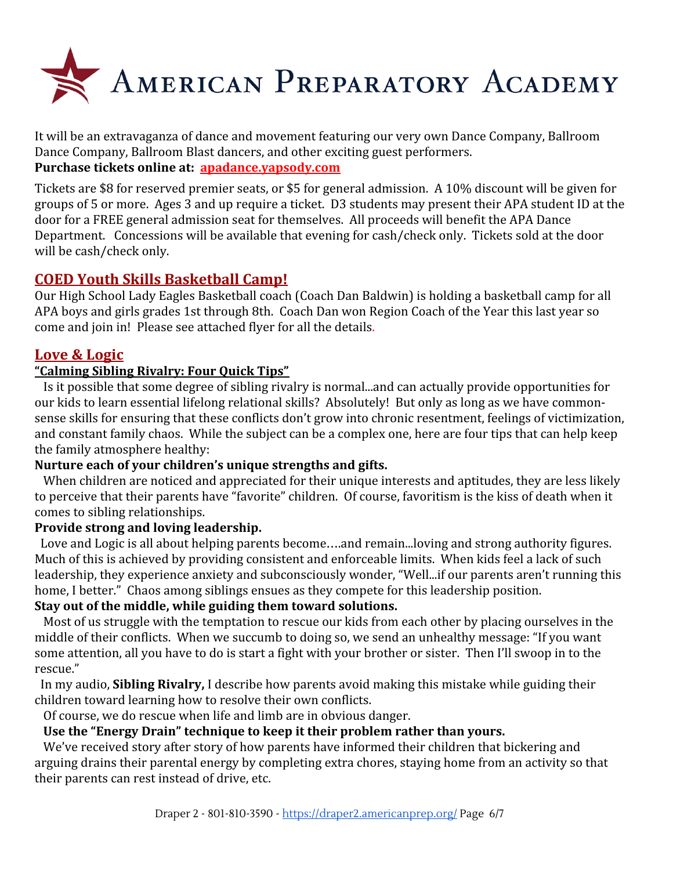

It will be an extravaganza of dance and movement featuring our very own Dance Company, Ballroom Dance Company, Ballroom Blast dancers, and other exciting guest performers. **Purchase tickets online at: [apadance.yapsody.com](http://apadance.yapsody.com/)**

Tickets are \$8 for reserved premier seats, or \$5 for general admission. A 10% discount will be given for groups of 5 or more. Ages 3 and up require a ticket. D3 students may present their APA student ID at the door for a FREE general admission seat for themselves. All proceeds will benefit the APA Dance Department. Concessions will be available that evening for cash/check only. Tickets sold at the door will be cash/check only.

### **COED Youth Skills Basketball Camp!**

Our High School Lady Eagles Basketball coach (Coach Dan Baldwin) is holding a basketball camp for all APA boys and girls grades 1st through 8th. Coach Dan won Region Coach of the Year this last year so come and join in! Please see attached flyer for all the details.

## **Love & Logic**

#### **"Calming Sibling Rivalry: Four Quick Tips"**

 Is it possible that some degree of sibling rivalry is normal...and can actually provide opportunities for our kids to learn essential lifelong relational skills? Absolutely! But only as long as we have commonsense skills for ensuring that these conflicts don't grow into chronic resentment, feelings of victimization, and constant family chaos. While the subject can be a complex one, here are four tips that can help keep the family atmosphere healthy:

#### **Nurture each of your children's unique strengths and gifts.**

When children are noticed and appreciated for their unique interests and aptitudes, they are less likely to perceive that their parents have "favorite" children. Of course, favoritism is the kiss of death when it comes to sibling relationships.

#### **Provide strong and loving leadership.**

Love and Logic is all about helping parents become….and remain...loving and strong authority figures. Much of this is achieved by providing consistent and enforceable limits. When kids feel a lack of such leadership, they experience anxiety and subconsciously wonder, "Well...if our parents aren't running this home, I better." Chaos among siblings ensues as they compete for this leadership position.

#### **Stay out of the middle, while guiding them toward solutions.**

 Most of us struggle with the temptation to rescue our kids from each other by placing ourselves in the middle of their conflicts. When we succumb to doing so, we send an unhealthy message: "If you want some attention, all you have to do is start a fight with your brother or sister. Then I'll swoop in to the rescue."

 In my audio, **Sibling Rivalry,** I describe how parents avoid making this mistake while guiding their children toward learning how to resolve their own conflicts.

Of course, we do rescue when life and limb are in obvious danger.

#### **Use the "Energy Drain" technique to keep it their problem rather than yours.**

We've received story after story of how parents have informed their children that bickering and arguing drains their parental energy by completing extra chores, staying home from an activity so that their parents can rest instead of drive, etc.